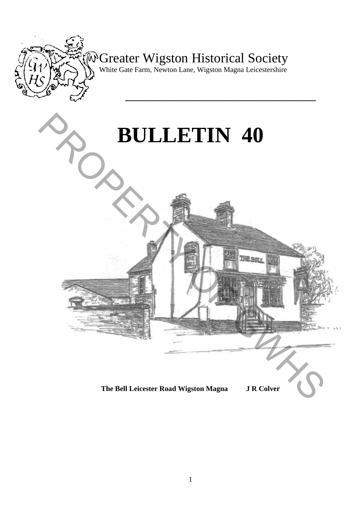

# Greater Wigston Historical Society

White Gate Farm, Newton Lane, Wigston Magna Leicestershire

**\_\_\_\_\_\_\_\_\_\_\_\_\_\_\_\_\_\_\_\_\_\_\_\_\_\_\_\_\_\_\_\_\_\_\_\_\_\_\_** 



**The Bell Leicester Road Wigston Magna J R Colver**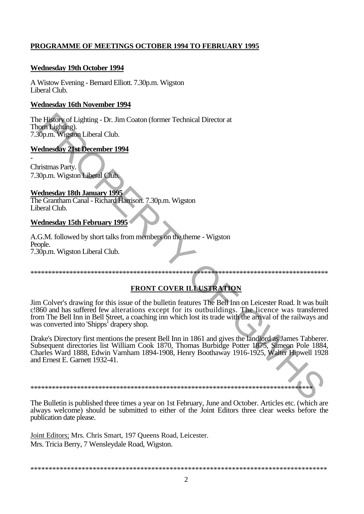### PROGRAMME OF MEETINGS OCTOBER 1994 TO FEBRUARY 1995

#### **Wednesday 19th October 1994**

A Wistow Evening - Bernard Elliott. 7.30p.m. Wigston Liberal Club.

#### **Wednesday 16th November 1994**

The History of Lighting - Dr. Jim Coaton (former Technical Director at Thorn Lighting). 7.30p.m. Wigston Liberal Club.

### **Wednesday 21st December 1994**

Christmas Party. 7.30p.m. Wigston Liberal Club.

### **Wednesday 18th January 1995**

The Grantham Canal - Richard Harrison. 7.30p.m. Wigston Liberal Club.

#### **Wednesday 15th February 1995**

A.G.M. followed by short talks from members on the theme - Wigston People. 7.30p.m. Wigston Liberal Club.

### **FRONT COVER ILLUSTRATION**

Jim Colver's drawing for this issue of the bulletin features The Bell Inn on Leicester Road. It was built c. 860 and has suffered few alterations except for its outbuildings. The licence was transferred from The Bell Inn in Bell Street, a coaching inn which lost its trade with the arrival of the railways and was converted into 'Shipps<sup>1</sup> drapery shop.

Drake's Directory first mentions the present Bell Inn in 1861 and gives the landlord as James Tabberer. Subsequent directories list William Cook 1870, Thomas Burbidge Potter 1875, Simeon Pole 1884,<br>Charles Ward 1888, Edwin Varnham 1894-1908, Henry Boothaway 1916-1925, Walter Hipwell 1928 and Ernest E. Garnett 1932-41.

The Bulletin is published three times a year on 1st February, June and October. Articles etc. (which are always welcome) should be submitted to either of the Joint Editors three clear weeks before the publication date please.

Joint Editors; Mrs. Chris Smart, 197 Queens Road, Leicester. Mrs. Tricia Berry, 7 Wensleydale Road, Wigston.

####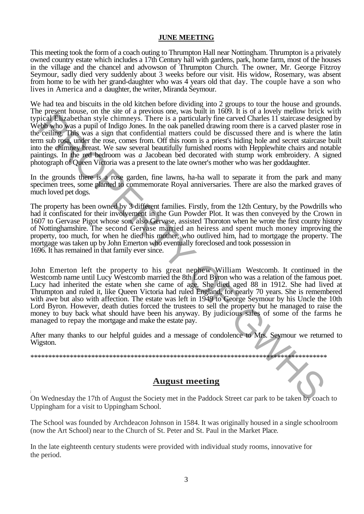#### **JUNE MEETING**

This meeting took the form of a coach outing to Thrumpton Hall near Nottingham. Thrumpton is a privately owned country estate which includes a 17th Century hall with gardens, park, home farm, most of the houses in the village and the chancel and advowson of Thrumpton Church. The owner, Mr. George Fitzroy Seymour, sadly died very suddenly about 3 weeks before our visit. His widow, Rosemary, was absent from home to be with her grand-daughter who was 4 years old that day. The couple have a son who lives in America and a daughter, the writer, Miranda Seymour.

We had tea and biscuits in the old kitchen before dividing into 2 groups to tour the house and grounds. The present house, on the site of a previous one, was built in 1609. It is of a lovely mellow brick with typical Elizabethan style chimneys. There is a particularly fine carved Charles 11 staircase designed by Webb who was a pupil of Indigo Jones. In the oak panelled drawing room there is a carved plaster rose in the ceiling. This was a sign that confidential matters could be discussed there and is where the latin term sub rosa, under the rose, comes from. Off this room is a priest's hiding hole and secret staircase built into the chimney breast. We saw several beautifully furnished rooms with Hepplewhite chairs and notable paintings. In the red bedroom was *a* Jacobean bed decorated with stump work embroidery. A signed photograph of Queen Victoria was a present to the late owner's mother who was her goddaughter.

In the grounds there is a rose garden, fine lawns, ha-ha wall to separate it from the park and many specimen trees, some planted to commemorate Royal anniversaries. There are also the marked graves of much loved pet dogs.

The property has been owned by 3 different families. Firstly, from the 12th Century, by the Powdrills who had it confiscated for their involvement in the Gun Powder Plot. It was then conveyed by the Crown in 1607 to Gervase Pigot whose son, also Gervase, assisted Thoroton when he wrote the first county history of Nottinghamshire. The second Gervase married an heiress and spent much money improving the property, too much, for when he died his mother, who outlived him, had to mortgage the property. The mortgage was taken up by John Emerton who eventually foreclosed and took possession in 1696. It has remained in that family ever since.

John Emerton left the property to his great nephew William Westcomb. It continued in the Westcomb name until Lucy Westcomb married the 8th Lord Byron who was a relation of the famous poet. Lucy had inherited the estate when she came of age. She died aged 88 in 1912. She had lived at Thrumpton and ruled it, like Queen Victoria had ruled England, for nearly 70 years. She is remembered with awe but also with affection. The estate was left in 1949 to George Seymour by his Uncle the 10th Lord Byron. However, death duties forced the trustees to sell the property but he managed to raise the money to buy back what should have been his anyway. By judicious sales of some of the farms he managed to repay the mortgage and make the estate pay. Sive the metric system and the control of the result in the cared Charles UT stations who was a pupil of Indigo Jones. In the case metrically furne careed Charles UT stationse designs the control of the system and control

After many thanks to our helpful guides and a message of condolence to Mrs. Seymour we returned to Wigston.

#### \*\*\*\*\*\*\*\*\*\*\*\*\*\*\*\*\*\*\*\*\*\*\*\*\*\*\*\*\*\*\*\*\*\*\*\*\*\*\*\*\*\*\*\*\*\*\*\*\*\*\*\*\*\*\*\*\*\*\*\*\*\*\*\*\*\*\*\*\*\*\*\*\*\*\*\*\*\*\*\*\*\*\*

#### **August meeting**

On Wednesday the 17th of August the Society met in the Paddock Street car park to be taken by coach to Uppingham for a visit to Uppingham School.

The School was founded by Archdeacon Johnson in 1584. It was originally housed in a single schoolroom (now the Art School) near to the Church of St. Peter and St. Paul in the Market Place.

In the late eighteenth century students were provided with individual study rooms, innovative for the period.

i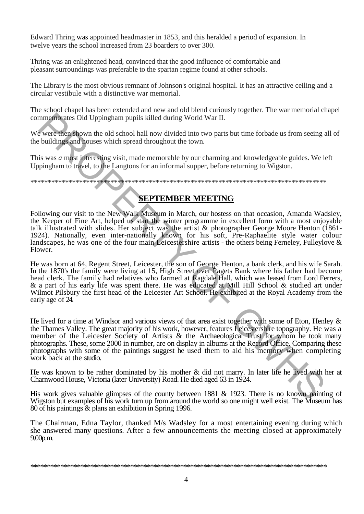Edward Thring was appointed headmaster in 1853, and this heralded a period of expansion. In twelve years the school increased from 23 boarders to over 300.

Thring was an enlightened head, convinced that the good influence of comfortable and pleasant surroundings was preferable to the spartan regime found at other schools.

The Library is the most obvious remnant of Johnson's original hospital. It has an attractive ceiling and a circular vestibule with a distinctive war memorial.

The school chapel has been extended and new and old blend curiously together. The war memorial chapel commemorates Old Uppingham pupils killed during World War II.

We were then shown the old school hall now divided into two parts but time forbade us from seeing all of the buildings and houses which spread throughout the town.

This was *a* most interesting visit, made memorable by our charming and knowledgeable guides. We left Uppingham to travel, to the Langtons for an informal supper, before returning to Wigston.

\*\*\*\*\*\*\*\*\*\*\*\*\*\*\*\*\*\*\*\*\*\*\*\*\*\*\*\*\*\*\*\*\*\*\*\*\*\*\*\*\*\*\*\*\*\*\*\*\*\*\*\*\*\*\*\*\*\*\*\*\*\*\*\*\*\*\*\*\*\*\*\*\*\*\*\*\*\*\*\*\*\*\*\*\*

## **SEPTEMBER MEETING**

Following our visit to the New Walk Museum in March, our hostess on that occasion, Amanda Wadsley, the Keeper of Fine Art, helped us start the winter programme in excellent form with a most enjoyable talk illustrated with slides. Her subject was the artist & photographer George Moore Henton (1861- 1924). Nationally, even inter-nationally known for his soft, Pre-Raphaelite style water colour landscapes, he was one of the four main Leicestershire artists - the others being Ferneley, Fulleylove & Flower.

He was born at 64, Regent Street, Leicester, the son of George Henton, a bank clerk, and his wife Sarah. In the 1870's the family were living at 15, High Street over Pagets Bank where his father had become head clerk. The family had relatives who farmed at Ragdale Hall, which was leased from Lord Ferrers, & a part of his early life was spent there. He was educated at Mill Hill School & studied art under Wilmot Pilsbury the first head of the Leicester Art School. He exhibited at the Royal Academy from the early age of 24.

He lived for a time at Windsor and various views of that area exist together with some of Eton, Henley & the Thames Valley. The great majority of his work, however, features Leicestershire topography. He was a member of the Leicester Society of Artists & the Archaeological Trust for whom he took many photographs. These, some 2000 in number, are on display in albums at the Record Office. Comparing these photographs with some of the paintings suggest he used them to aid his memory when completing work back at the studio. mmembranes Old Uppingham pupils killed during World War II.<br>  $\epsilon$  were then shown the old school hall now divided into two parts but time forbade us from seeing a<br>
buildings and bouses which pread throughout the town.<br>
Is

He was known to be rather dominated by his mother & did not marry. In later life he lived with her at Charnwood House, Victoria (later University) Road. He died aged 63 in 1924.

His work gives valuable glimpses of the county between 1881 & 1923. There is no known painting of Wigston but examples of his work turn up from around the world so one might well exist. The Museum has 80 of his paintings & plans an exhibition in Spring 1996.

The Chairman, Edna Taylor, thanked M/s Wadsley for a most entertaining evening during which she answered many questions. After a few announcements the meeting closed at approximately 9.00p.m.

<sup>\*\*\*\*\*\*\*\*\*\*\*\*\*\*\*\*\*\*\*\*\*\*\*\*\*\*\*\*\*\*\*\*\*\*\*\*\*\*\*\*\*\*\*\*\*\*\*\*\*\*\*\*\*\*\*\*\*\*\*\*\*\*\*\*\*\*\*\*\*\*\*\*\*\*\*\*\*\*\*\*\*\*\*\*\*\*\*\*\*</sup>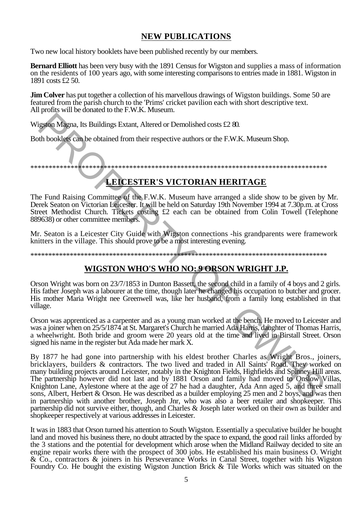## **NEW PUBLICATIONS**

Two new local history booklets have been published recently by our members.

**Bernard Elliott** has been very busy with the 1891 Census for Wigston and supplies a mass of information on the residents of 100 years ago, with some interesting comparisons to entries made in 1881. Wigston in 1891 costs £2.50.

**Jim Colver** has put together a collection of his marvellous drawings of Wigston buildings. Some 50 are featured from the parish church to the 'Prims' cricket payllion each with short descriptive text. All profits will be donated to the F.W.K. Museum.

Wigston Magna, Its Buildings Extant, Altered or Demolished costs £2.80.

Both booklets can be obtained from their respective authors or the F.W.K. Museum Shop.

# **LEICESTER'S VICTORIAN HERITAGE**

The Fund Raising Committee of the F.W.K. Museum have arranged a slide show to be given by Mr. Derek Seaton on Victorian Leicester. It will be held on Saturday 19th November 1994 at 7.30p.m. at Cross Street Methodist Church. Tickets costing £2 each can be obtained from Colin Towell (Telephone 889638) or other committee members.

Mr. Seaton is a Leicester City Guide with Wigston connections -his grandparents were framework knitters in the village. This should prove to be a most interesting evening.

# WIGSTON WHO'S WHO NO: 9 ORSON WRIGHT J.P.

Orson Wright was born on 23/7/1853 in Dunton Bassett, the second child in a family of 4 boys and 2 girls. His father Joseph was a labourer at the time, though later he changed his occupation to butcher and grocer. His mother Maria Wright nee Greenwell was, like her husband, from a family long established in that village.

Orson was apprenticed as a carpenter and as a young man worked at the bench. He moved to Leicester and was a joiner when on 25/5/1874 at St. Margaret's Church he married Ada Harris, daughter of Thomas Harris, a wheelwright. Both bride and groom were 20 years old at the time and lived in Birstall Street. Orson signed his name in the register but Ada made her mark X.

By 1877 he had gone into partnership with his eldest brother Charles as Wright Bros., joiners, bricklayers, builders & contractors. The two lived and traded in All Saints' Road. They worked on many building projects around Leicester, notably in the Knighton Fields, Highfields and Spinney Hill areas. The partnership however did not last and by 1881 Orson and family had moved to Onslow Villas, Knighton Lane, Aylestone where at the age of 27 he had a daughter, Ada Ann aged 5, and three small sons, Albert, Herbert & Orson. He was described as a builder employing 25 men and 2 boys, and was then in partnership with another brother, Joseph Jnr, who was also a beer retailer and shopkeeper. This partnership did not survive either, though, and Charles & Joseph later worked on their own as builder and shopkeeper respectively at various addresses in Leicester.

It was in 1883 that Orson turned his attention to South Wigston. Essentially a speculative builder he bought land and moved his business there, no doubt attracted by the space to expand, the good rail links afforded by the 3 stations and the potential for development which arose when the Midland Railway decided to site an engine repair works there with the prospect of 300 jobs. He established his main business O. Wright & Co., contractors & joiners in his Perseverance Works in Canal Street, together with his Wigston Foundry Co. He bought the existing Wigston Junction Brick & Tile Works which was situated on the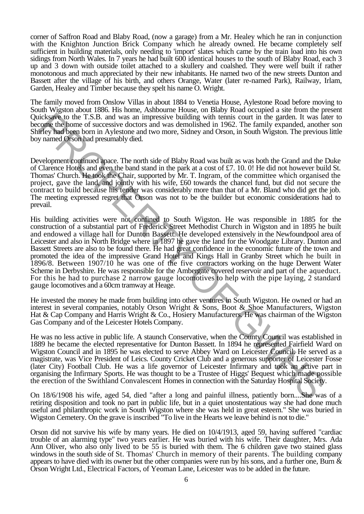corner of Saffron Road and Blaby Road, (now a garage) from a Mr. Healey which he ran in conjunction with the Knighton Junction Brick Company which he already owned. He became completely self sufficient in building materials, only needing to 'import' slates which came by the train load into his own sidings from North Wales. In 7 years he had built 600 identical houses to the south of Blaby Road, each 3 up and 3 down with outside toilet attached to a skullery and coalshed. They were well built if rather monotonous and much appreciated by their new inhabitants. He named two of the new streets Dunton and Bassett after the village of his birth, and others Orange, Water (later re-named Park), Railway, Irlam, Garden, Healey and Timber because they spelt his name O. Wright.

The family moved from Onslow Villas in about 1884 to Venetia House, Aylestone Road before moving to South Wigston about 1886. His home, Ashbourne House, on Blaby Road occupied a site from the present Quicksave to the T.S.B. and was an impressive building with tennis court in the garden. It was later to become the home of successive doctors and was demolished in 1962. The family expanded, another son Shirley had been born in Aylestone and two more, Sidney and Orson, in South Wigston. The previous little boy named Orson had presumably died.

Development continued apace. The north side of Blaby Road was built as was both the Grand and the Duke of Clarence Hotels and even the band stand in the park at a cost of £7. 10. 0! He did not however build St. Thomas' Church. He took the Chair, supported by Mr. T. Ingram, of the committee which organised the project, gave the land, and jointly with his wife, £60 towards the chancel fund, but did not secure the contract to build because his tender was considerably more than that of a Mr. Bland who did get the job. The meeting expressed regret that Orson was not to be the builder but economic considerations had to prevail.

His building activities were not confined to South Wigston. He was responsible in 1885 for the construction of a substantial part of Frederick Street Methodist Church in Wigston and in 1895 he built and endowed a village hall for Dunton Bassett. He developed extensively in the Newfoundpool area of Leicester and also in North Bridge where in 1897 he gave the land for the Woodgate Library. Dunton and Bassett Streets are also to be found there. He had great confidence in the economic future of the town and promoted the idea of the impressive Grand Hotel and Kings Hall in Granby Street which he built in 1896/8. Between 1907/10 he was one of the five contractors working on the huge Derwent Water Scheme in Derbyshire. He was responsible for the Ambergate covered reservoir and part of the aqueduct. For this he had to purchase 2 narrow gauge locomotives to help with the pipe laying, 2 standard gauge locomotives and a 60cm tramway at Heage. icksgeve to the T.S.B, and was an impressive building with tenisis court in the garden. It was line<br>inclusive drop the bonne of successive doctors and was demolished in 1962. The family expanded, anotherly had ogen born in

He invested the money he made from building into other ventures in South Wigston. He owned or had an interest in several companies, notably Orson Wright & Sons, Boot & Shoe Manufacturers, Wigston Hat & Cap Company and Harris Wright & Co., Hosiery Manufacturers. He was chairman of the Wigston Gas Company and of the Leicester Hotels Company.

He was no less active in public life. A staunch Conservative, when the County Council was established in 1889 he became the elected representative for Dunton Bassett. In 1894 he represented Fairfield Ward on Wigston Council and in 1895 he was elected to serve Abbey Ward on Leicester Council. He served as a magistrate, was Vice President of Leics. County Cricket Club and a generous supporter of Leicester Fosse (later City) Football Club. He was a life governor of Leicester Infirmary and took an active part in organising the Infirmary Sports. He was thought to be a Trustee of Higgs' Bequest which made possible the erection of the Swithland Convalescent Homes in connection with the Saturday Hospital Society.

On 18/6/1908 his wife, aged 54, died "after a long and painful illness, patiently born....She was of a retiring disposition and took no part in public life, but in a quiet unostentatious way she had done much useful and philanthropic work in South Wigston where she was held in great esteem." She was buried in Wigston Cemetery. On the grave is inscribed "To live in the Hearts we leave behind is not to die."

Orson did not survive his wife by many years. He died on 10/4/1913, aged 59, having suffered "cardiac trouble of an alarming type" two years earlier. He was buried with his wife. Their daughter, Mrs. Ada Ann Oliver, who also only lived to be 55 is buried with them. The 6 children gave two stained glass windows in the south side of St. Thomas' Church in memory of their parents. The building company appears to have died with its owner but the other companies were run by his sons, and a further one, Burn  $\&$ Orson Wright Ltd., Electrical Factors, of Yeoman Lane, Leicester was to be added in the future.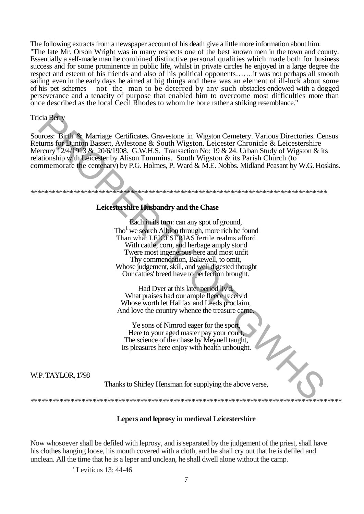The following extracts from a newspaper account of his death give a little more information about him. "The late Mr. Orson Wright was in many respects one of the best known men in the town and county. Essentially a self-made man he combined distinctive personal qualities which made both for business success and for some prominence in public life, whilst in private circles he enjoyed in a large degree the respect and esteem of his friends and also of his political opponents.......it was not perhaps all smooth sailing even in the early days he aimed at big things and there was an element of ill-luck about some of his pet schemes not the man to be deterred by any such obstacles endowed with a dogged perseverance and a tenacity of purpose that enabled him to overcome most difficulties more than once described as the local Cecil Rhodes to whom he bore rather a striking resemblance."

#### **Tricia Berry**

Sources: Birth & Marriage Certificates. Gravestone in Wigston Cemetery. Various Directories. Census Returns for Dunton Bassett, Aylestone & South Wigston. Leicester Chronicle & Leicestershire Mercury 12/4/1913 & 20/6/1908. G.W.H.S. Transaction No: 19 & 24. Urban Study of Wigston & its relationship with Leicester by Alison Tummins. South Wigston & its Parish Church (to commemorate the centenary) by P.G. Holmes, P. Ward & M.E. Nobbs. Midland Peasant by W.G. Hoskins.

#### Leicestershire Husbandry and the Chase

Each in its turn: can any spot of ground,  $\text{Tho}^1$  we search Albion through, more rich be found Than what LEICESTRIAS fertile realms afford With cattle, corn, and herbage amply stor'd Twere most ingenerous here and most unfit Thy commendation, Bakewell, to omit, Whose judgement, skill, and well digested thought Our catties' breed have to perfection brought.

Had Dyer at this later period liv'd, What praises had our ample fleece receiv'd Whose worth let Halifax and Leeds proclaim, And love the country whence the treasure came.

Ye sons of Nimrod eager for the sport. Here to your aged master pay your court. The science of the chase by Meynell taught, Its pleasures here enjoy with health unbought.

**W.P. TAYLOR, 1798** 

Thanks to Shirley Hensman for supplying the above verse,

#### **Lepers and leprosy in medieval Leicestershire**

Now whosoever shall be defiled with leprosy, and is separated by the judgement of the priest, shall have his clothes hanging loose, his mouth covered with a cloth, and he shall cry out that he is defiled and unclean. All the time that he is a leper and unclean, he shall dwell alone without the camp.

'Leviticus 13: 44-46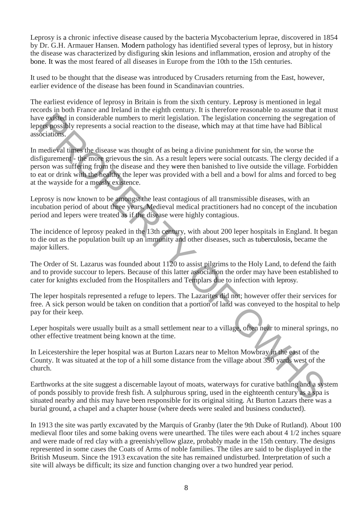Leprosy is a chronic infective disease caused by the bacteria Mycobacterium leprae, discovered in 1854 by Dr. G.H. Armauer Hansen. Modern pathology has identified several types of leprosy, but in history the disease was characterized by disfiguring skin lesions and inflammation, erosion and atrophy of the bone. It was the most feared of all diseases in Europe from the 10th to the 15th centuries.

It used to be thought that the disease was introduced by Crusaders returning from the East, however, earlier evidence of the disease has been found in Scandinavian countries.

The earliest evidence of leprosy in Britain is from the sixth century. Leprosy is mentioned in legal records in both France and Ireland in the eighth century. It is therefore reasonable to assume that it must have existed in considerable numbers to merit legislation. The legislation concerning the segregation of lepers possibly represents a social reaction to the disease, which may at that time have had Biblical associations.

In medieval times the disease was thought of as being a divine punishment for sin, the worse the disfigurement - the more grievous the sin. As a result lepers were social outcasts. The clergy decided if a person was suffering from the disease and they were then banished to live outside the village. Forbidden to eat or drink with the healthy the leper was provided with a bell and a bowl for alms and forced to beg at the wayside for a measly existence. eve system in considerable numbers to merit legislation. The legislation concerning the segregation<br>octavism, social reaction to the disease, which may at that time have had Biblical<br>octavism,<br>medieval times the disease wa

Leprosy is now known to be amongst the least contagious of all transmissible diseases, with an incubation period of about three years. Medieval medical practitioners had no concept of the incubation period and lepers were treated as if the disease were highly contagious.

The incidence of leprosy peaked in the 13th century, with about 200 leper hospitals in England. It began to die out as the population built up an immunity and other diseases, such as tuberculosis, became the major killers.

The Order of St. Lazarus was founded about 1120 to assist pilgrims to the Holy Land, to defend the faith and to provide succour to lepers. Because of this latter association the order may have been established to cater for knights excluded from the Hospitallers and Templars due to infection with leprosy.

The leper hospitals represented a refuge to lepers. The Lazarites did not; however offer their services for free. A sick person would be taken on condition that a portion of land was conveyed to the hospital to help pay for their keep.

Leper hospitals were usually built as a small settlement near to a village, often near to mineral springs, no other effective treatment being known at the time.

In Leicestershire the leper hospital was at Burton Lazars near to Melton Mowbray in the east of the County. It was situated at the top of a hill some distance from the village about 350 yards west of the church.

Earthworks at the site suggest a discernable layout of moats, waterways for curative bathing and a system of ponds possibly to provide fresh fish. A sulphurous spring, used in the eighteenth century as a spa is situated nearby and this may have been responsible for its original siting. At Burton Lazars there was a burial ground, a chapel and a chapter house (where deeds were sealed and business conducted).

In 1913 the site was partly excavated by the Marquis of Granby (later the 9th Duke of Rutland). About 100 medieval floor tiles and some baking ovens were unearthed. The tiles were each about 4 1/2 inches square and were made of red clay with a greenish/yellow glaze, probably made in the 15th century. The designs represented in some cases the Coats of Arms of noble families. The tiles are said to be displayed in the British Museum. Since the 1913 excavation the site has remained undisturbed. Interpretation of such a site will always be difficult; its size and function changing over a two hundred year period.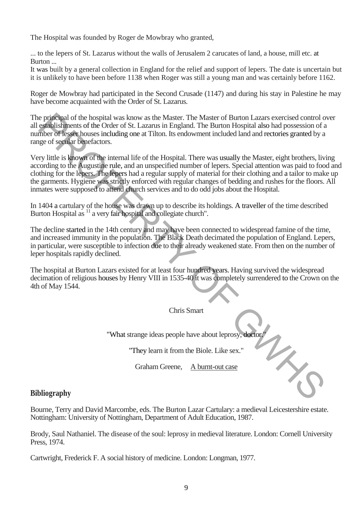The Hospital was founded by Roger de Mowbray who granted,

... to the lepers of St. Lazarus without the walls of Jerusalem 2 carucates of land, a house, mill etc. at Burton ...

It was built by a general collection in England for the relief and support of lepers. The date is uncertain but it is unlikely to have been before 1138 when Roger was still a young man and was certainly before 1162.

Roger de Mowbray had participated in the Second Crusade (1147) and during his stay in Palestine he may have become acquainted with the Order of St. Lazarus.

The principal of the hospital was know as the Master. The Master of Burton Lazars exercised control over all establishments of the Order of St. Lazarus in England. The Burton Hospital also had possession of a number of lesser houses including one at Tilton. Its endowment included land and rectories granted by a range of secular benefactors.

Very little is known of the internal life of the Hospital. There was usually the Master, eight brothers, living according to the Augustine rule, and an unspecified number of lepers. Special attention was paid to food and clothing for the lepers. The lepers had a regular supply of material for their clothing and a tailor to make up the garments. Hygiene was strictly enforced with regular changes of bedding and rushes for the floors. All inmates were supposed to attend church services and to do odd jobs about the Hospital. e principal of the hospital was known as the Master. The Master of Buron Lazzar section of the Buron Line Buron is the Master control of the Buron Hospital control of the Buron Hospital and possession of a more of Esset ho

In 1404 a cartulary of the house was drawn up to describe its holdings. A traveller of the time described Burton Hospital as <sup>11</sup> a very fair hospital and collegiate church".

The decline started in the 14th century and may have been connected to widespread famine of the time, and increased immunity in the population. The Black Death decimated the population of England. Lepers, in particular, were susceptible to infection due to their already weakened state. From then on the number of leper hospitals rapidly declined.

The hospital at Burton Lazars existed for at least four hundred years. Having survived the widespread decimation of religious houses by Henry VIII in 1535-40 it was completely surrendered to the Crown on the 4th of May 1544.

Chris Smart

"What strange ideas people have about leprosy, doctor.

"They learn it from the Biole. Like sex."

Graham Greene, A burnt-out case

### **Bibliography**

Bourne, Terry and David Marcombe, eds. The Burton Lazar Cartulary: a medieval Leicestershire estate. Nottingham: University of Nottingham, Department of Adult Education, 1987.

Brody, Saul Nathaniel. The disease of the soul: leprosy in medieval literature. London: Cornell University Press, 1974.

Cartwright, Frederick F. A social history of medicine. London: Longman, 1977.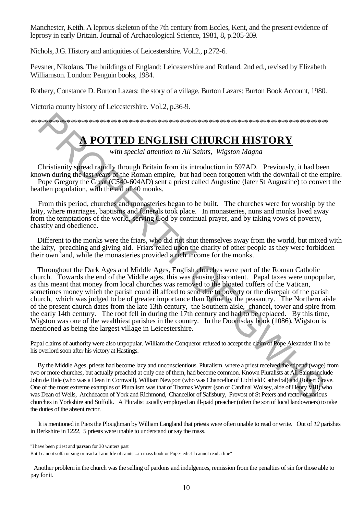Manchester, Keith. A leprous skeleton of the 7th century from Eccles, Kent, and the present evidence of leprosy in early Britain. Journal of Archaeological Science, 1981, 8, p.205-209.

Nichols, J.G. History and antiquities of Leicestershire. Vol.2., p.272-6.

Pevsner, Nikolaus. The buildings of England: Leicestershire and Rutland. 2nd ed., revised by Elizabeth Williamson. London: Penguin books, 1984.

Rothery, Constance D. Burton Lazars: the story of a village. Burton Lazars: Burton Book Account, 1980.

Victoria county history of Leicestershire. Vol.2, p.36-9.

\*\*\*\*\*\*\*\*\*\*\*\*\*\*\*\*\*\*\*\*\*\*\*\*\*\*\*\*\*\*\*\*\*\*\*\*\*\*\*\*\*\*\*\*\*\*\*\*\*\*\*\*\*\*\*\*\*\*\*\*\*\*\*\*\*\*\*\*\*\*\*\*\*\*\*\*\*\*\*\*\*\*

# **POTTED ENGLISH CHURCH HISTORY**

*with special attention to All Saints, Wigston Magna* 

Christianity spread rapidly through Britain from its introduction in 597AD. Previously, it had been known during the last years of the Roman empire, but had been forgotten with the downfall of the empire. Pope Gregory the Great (C540-604AD) sent a priest called Augustine (later St Augustine) to convert the heathen population, with the aid of 40 monks.

From this period, churches and monasteries began to be built. The churches were for worship by the laity, where marriages, baptisms and funerals took place. In monasteries, nuns and monks lived away from the temptations of the world, serving God by continual prayer, and by taking vows of poverty, chastity and obedience.

Different to the monks were the friars, who did riot shut themselves away from the world, but mixed with the laity, preaching and giving aid. Friars relied upon the charity of other people as they were forbidden their own land, while the monasteries provided a rich income for the monks.

Throughout the Dark Ages and Middle Ages, English churches were part of the Roman Catholic church. Towards the end of the Middle ages, this was causing discontent. Papal taxes were unpopular, as this meant that money from local churches was removed to the bloated coffers of the Vatican, sometimes money which the parish could ill afford to send due to poverty or the disrepair of the parish church, which was judged to be of greater importance than Rome by the peasantry. The Northern aisle of the present church dates from the late 13th century, the Southern aisle, chancel, tower and spire from the early 14th century. The roof fell in during the 17th century and had to be replaced. By this time, Wigston was one of the wealthiest parishes in the country. In the Doomsday book (1086), Wigston is mentioned as being the largest village in Leicestershire. **PROTTED ENGLISH CHURCH HISTORY**<br>
With special attention to All Saints, Wigston Magna<br>
with special attention to All Saints, Wigston Magna<br>
Christianity speed rapidly through Britain from its introduction in 597AD. Previo

Papal claims of authority were also unpopular. William the Conqueror refused to accept the claim of Pope Alexander II to be his overlord soon after his victory at Hastings.

By the Middle Ages, priests had become lazy and unconscientious. Pluralism, where a priest received the stipend (wage) from two or more churches, but actually preached at only one of them, had become common. Known Pluralists at All Saints include John de Hale (who was a Dean in Cornwall), William Newport (who was Chancellor of Lichfield Cathedral) and Robert Grave. One of the most extreme examples of Pluralism was that of Thomas Wynter (son of Cardinal Wolsey, aide of Henry VIII) who was Dean of Wells, Archdeacon of York and Richmond, Chancellor of Salisbury, Provost of St Peters and rector of various churches in Yorkshire and Suffolk. A Pluralist usually employed an ill-paid preacher (often the son of local landowners) to take the duties of the absent rector.

It is mentioned in Piers the Ploughman by William Langland that priests were often unable to read or write. Out of *12* parishes in Berkshire in 1222, 5 priests were unable to understand or say the mass.

"I have been priest and **parson** for 30 winters past

But I cannot solfa or sing or read a Latin life of saints ...in mass book or Popes edict I cannot read a line"

Another problem in the church was the selling of pardons and indulgences, remission from the penalties of sin for those able to pay for it.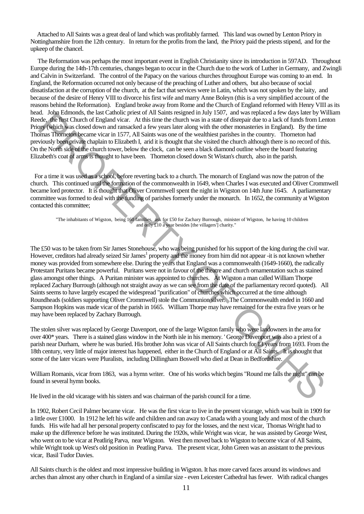Attached to All Saints was a great deal of land which was profitably farmed. This land was owned by Lenton Priory in Nottinghamshire from the 12th century. In return for the profits from the land, the Priory paid the priests stipend, and for the upkeep of the chancel.

The Reformation was perhaps the most important event in English Christianity since its introduction in 597AD. Throughout Europe during the 14th-17th centuries, changes began to occur in the Church due to the work of Luther in Germany, and Zwingli and Calvin in Switzerland. The control of the Papacy on the various churches throughout Europe was coming to an end. In England, the Reformation occurred not only because of the preaching of Luther and others, but also because of social dissatisfaction at the corruption of the church, at the fact that services were in Latin, which was not spoken by the laity, and because of the desire of Henry VIII to divorce his first wife and marry Anne Boleyn (this is a very simplified account of the reasons behind the Reformation). England broke away from Rome and the Church of England reformed with Henry VIII as its head. John Edmonds, the last Catholic priest of All Saints resigned in July 1507, and was replaced a few days later by William Reede, the first Church of England vicar. At this time the church was in a state of disrepair due to a lack of funds from Lenton Priory (which was closed down and ransacked a few years later along with the other monasteries in England). By the time Thomas Thorneton became vicar in 1577, All Saints was one of the wealthiest parishes in the country. Thorneton had previously been private chaplain to Elizabeth I, arid it is thought that she visited the church although there is no record of this. On the North side of the church tower, below the clock, can be seen a black diamond outline where the board featuring Elizabeth's coat of arms is thought to have been. Thorneton closed down St Wistan's church, also in the parish.

For a time it was used as a school, before reverting back to a church. The monarch of England was now the patron of the church. This continued until the formation of the commonwealth in 1649, when Charles I was executed and Oliver Crommwell became lord protector. It is thought that Oliver Crommwell spent the night in Wigston on 14th June 1645. A parliamentary committee was formed to deal with the funding of parishes formerly under the monarch. In 1652, the community at Wigston contacted this committee;

"The inhabitants of Wigston, being 160 families, ask for £50 for Zachary Burrough, minister of Wigston, he having 10 children and only £10 a year besides [the villagers'] charity."

The £50 was to be taken from Sir James Stonehouse, who was being punished for his support of the king during the civil war. However, creditors had already seized Sir James<sup>1</sup> property and the money from him did not appear -it is not known whether money was provided from somewhere else. During the years that England was a commonwealth (1649-1660), the radically Protestant Puritans became powerful. Puritans were not in favour of the theatre and church ornamentation such as stained glass amongst other things. A Puritan minister was appointed to churches. At Wigston a man called William Thorpe replaced Zachary Burrough (although not straight away as we can see from the date of the parliamentary record quoted). All Saints seems to have largely escaped the widespread "purification" of churches which occurred at the time although Roundheads (soldiers supporting Oliver Crommwell) stole the Communion silver. The Commonwealth ended in 1660 and Sampson Hopkins was made vicar of the parish in 1665. William Thorpe may have remained for the extra five years or he may have been replaced by Zachary Burrough. E. And readvoking the Best control of the basis is specified at the specified of the application of the specified of the specified of the specified of the specified of the specified of the specified of the specified of th

The stolen silver was replaced by George Davenport, one of the large Wigston family who were landowners in the area for over 400\* years. There is a stained glass window in the North isle in his memory. ' George Davenport was also a priest of a parish near Durham, where he was buried. His brother John was vicar of All Saints church for 13 years from 1693. From the 18th century, very little of major interest has happened, either in the Church of England or at All Saints. It is thought that some of the later vicars were Pluralists, including Dillingham Boswell who died at Dean in Bedfordshire.

William Romanis, vicar from 1863, was a hymn writer. One of his works which begins "Round me falls the night" can be found in several hymn books.

He lived in the old vicarage with his sisters and was chairman of the parish council for a time.

In 1902, Robert Cecil Palmer became vicar. He was the first vicar to live in the present vicarage, which was built in 1909 for a little over £1000. In 1912 he left his wife and children and ran away to Canada with a young lady and most of the church funds. His wife had all her personal property confiscated to pay for the losses, and the next vicar, Thomas Wright had to make up the difference before he was instituted. During the 1920s, while Wright was vicar, he was assisted by George West, who went on to be vicar at Peatlirig Parva, near Wigston. West then moved back to Wigston to become vicar of All Saints, while Wright took up West's old position in Peatling Parva. The present vicar, John Green was an assistant to the previous vicar, Basil Tudor Davies.

All Saints church is the oldest and most impressive building in Wigston. It has more carved faces around its windows and arches than almost any other church in England of a similar size - even Leicester Cathedral has fewer. With radical changes